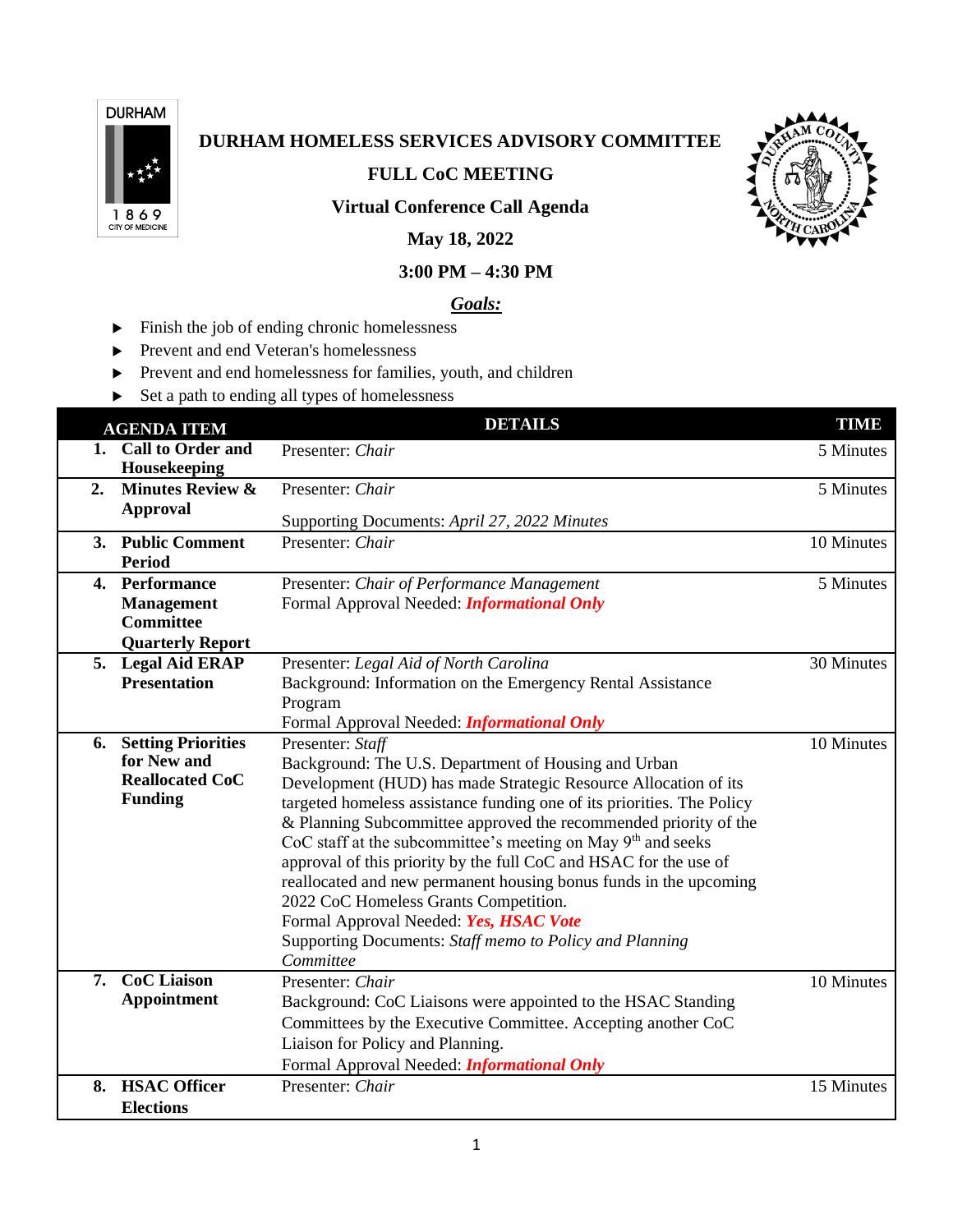

# **DURHAM HOMELESS SERVICES ADVISORY COMMITTEE**

**FULL CoC MEETING**



### **Virtual Conference Call Agenda**

## **May 18, 2022**

### **3:00 PM – 4:30 PM**

#### *Goals:*

- $\blacktriangleright$  Finish the job of ending chronic homelessness
- **Prevent and end Veteran's homelessness**
- Prevent and end homelessness for families, youth, and children
- Set a path to ending all types of homelessness

|    | <b>AGENDA ITEM</b>          | <b>DETAILS</b>                                                           | <b>TIME</b> |
|----|-----------------------------|--------------------------------------------------------------------------|-------------|
|    | 1. Call to Order and        | Presenter: Chair                                                         | 5 Minutes   |
|    | Housekeeping                |                                                                          |             |
| 2. | <b>Minutes Review &amp;</b> | Presenter: Chair                                                         | 5 Minutes   |
|    | <b>Approval</b>             | Supporting Documents: April 27, 2022 Minutes                             |             |
|    | 3. Public Comment           | Presenter: Chair                                                         | 10 Minutes  |
|    | <b>Period</b>               |                                                                          |             |
|    | 4. Performance              | Presenter: Chair of Performance Management                               | 5 Minutes   |
|    | <b>Management</b>           | Formal Approval Needed: <i>Informational Only</i>                        |             |
|    | <b>Committee</b>            |                                                                          |             |
|    | <b>Quarterly Report</b>     |                                                                          |             |
|    | 5. Legal Aid ERAP           | Presenter: Legal Aid of North Carolina                                   | 30 Minutes  |
|    | <b>Presentation</b>         | Background: Information on the Emergency Rental Assistance               |             |
|    |                             | Program                                                                  |             |
|    |                             | Formal Approval Needed: <i>Informational Only</i>                        |             |
| 6. | <b>Setting Priorities</b>   | Presenter: Staff                                                         | 10 Minutes  |
|    | for New and                 | Background: The U.S. Department of Housing and Urban                     |             |
|    | <b>Reallocated CoC</b>      | Development (HUD) has made Strategic Resource Allocation of its          |             |
|    | <b>Funding</b>              | targeted homeless assistance funding one of its priorities. The Policy   |             |
|    |                             | & Planning Subcommittee approved the recommended priority of the         |             |
|    |                             | CoC staff at the subcommittee's meeting on May 9 <sup>th</sup> and seeks |             |
|    |                             | approval of this priority by the full CoC and HSAC for the use of        |             |
|    |                             | reallocated and new permanent housing bonus funds in the upcoming        |             |
|    |                             | 2022 CoC Homeless Grants Competition.                                    |             |
|    |                             | Formal Approval Needed: Yes, HSAC Vote                                   |             |
|    |                             | Supporting Documents: Staff memo to Policy and Planning                  |             |
|    |                             | Committee                                                                |             |
| 7. | <b>CoC</b> Liaison          | Presenter: Chair                                                         | 10 Minutes  |
|    | Appointment                 | Background: CoC Liaisons were appointed to the HSAC Standing             |             |
|    |                             | Committees by the Executive Committee. Accepting another CoC             |             |
|    |                             | Liaison for Policy and Planning.                                         |             |
|    |                             | Formal Approval Needed: <i>Informational Only</i>                        |             |
|    | 8. HSAC Officer             | Presenter: Chair                                                         | 15 Minutes  |
|    | <b>Elections</b>            |                                                                          |             |